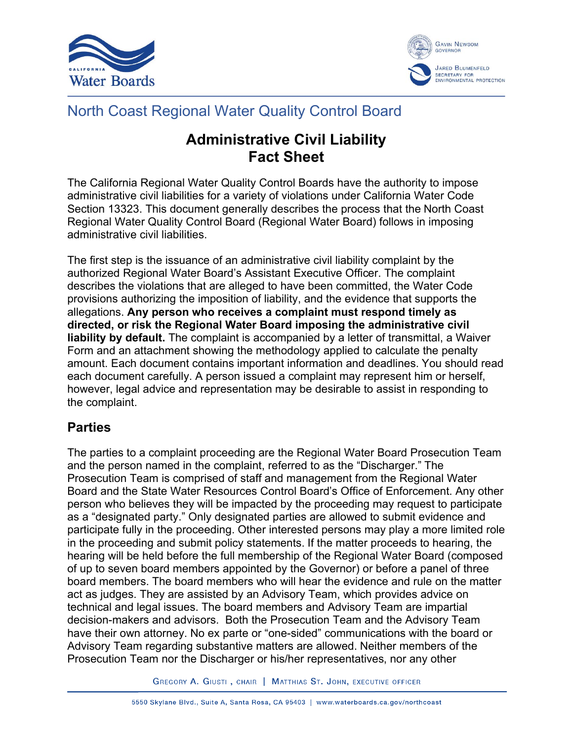



# North Coast Regional Water Quality Control Board

# **Administrative Civil Liability Fact Sheet**

The California Regional Water Quality Control Boards have the authority to impose administrative civil liabilities for a variety of violations under California Water Code Section 13323. This document generally describes the process that the North Coast Regional Water Quality Control Board (Regional Water Board) follows in imposing administrative civil liabilities.

The first step is the issuance of an administrative civil liability complaint by the authorized Regional Water Board's Assistant Executive Officer. The complaint describes the violations that are alleged to have been committed, the Water Code provisions authorizing the imposition of liability, and the evidence that supports the allegations. **Any person who receives a complaint must respond timely as directed, or risk the Regional Water Board imposing the administrative civil liability by default.** The complaint is accompanied by a letter of transmittal, a Waiver Form and an attachment showing the methodology applied to calculate the penalty amount. Each document contains important information and deadlines. You should read each document carefully. A person issued a complaint may represent him or herself, however, legal advice and representation may be desirable to assist in responding to the complaint.

## **Parties**

The parties to a complaint proceeding are the Regional Water Board Prosecution Team and the person named in the complaint, referred to as the "Discharger." The Prosecution Team is comprised of staff and management from the Regional Water Board and the State Water Resources Control Board's Office of Enforcement. Any other person who believes they will be impacted by the proceeding may request to participate as a "designated party." Only designated parties are allowed to submit evidence and participate fully in the proceeding. Other interested persons may play a more limited role in the proceeding and submit policy statements. If the matter proceeds to hearing, the hearing will be held before the full membership of the Regional Water Board (composed of up to seven board members appointed by the Governor) or before a panel of three board members. The board members who will hear the evidence and rule on the matter act as judges. They are assisted by an Advisory Team, which provides advice on technical and legal issues. The board members and Advisory Team are impartial decision-makers and advisors. Both the Prosecution Team and the Advisory Team have their own attorney. No ex parte or "one-sided" communications with the board or Advisory Team regarding substantive matters are allowed. Neither members of the Prosecution Team nor the Discharger or his/her representatives, nor any other

GREGORY A. GIUSTI, CHAIR | MATTHIAS ST. JOHN, EXECUTIVE OFFICER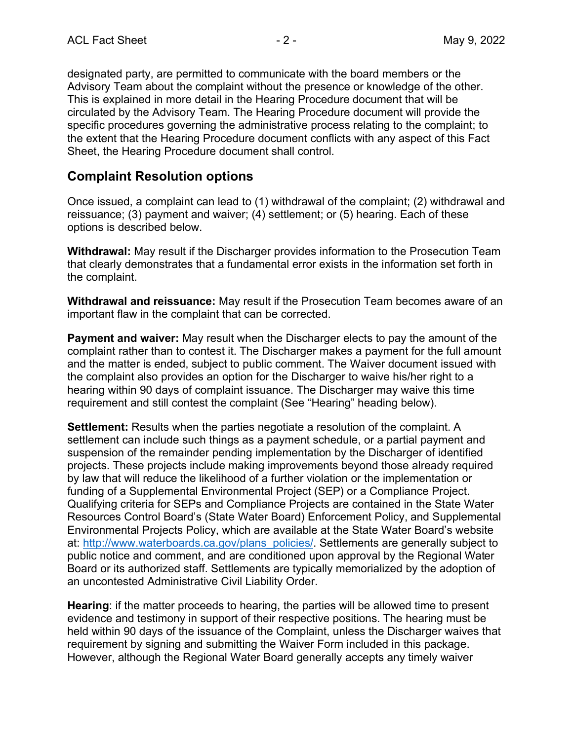designated party, are permitted to communicate with the board members or the Advisory Team about the complaint without the presence or knowledge of the other. This is explained in more detail in the Hearing Procedure document that will be circulated by the Advisory Team. The Hearing Procedure document will provide the specific procedures governing the administrative process relating to the complaint; to the extent that the Hearing Procedure document conflicts with any aspect of this Fact Sheet, the Hearing Procedure document shall control.

#### **Complaint Resolution options**

Once issued, a complaint can lead to (1) withdrawal of the complaint; (2) withdrawal and reissuance; (3) payment and waiver; (4) settlement; or (5) hearing. Each of these options is described below.

**Withdrawal:** May result if the Discharger provides information to the Prosecution Team that clearly demonstrates that a fundamental error exists in the information set forth in the complaint.

**Withdrawal and reissuance:** May result if the Prosecution Team becomes aware of an important flaw in the complaint that can be corrected.

**Payment and waiver:** May result when the Discharger elects to pay the amount of the complaint rather than to contest it. The Discharger makes a payment for the full amount and the matter is ended, subject to public comment. The Waiver document issued with the complaint also provides an option for the Discharger to waive his/her right to a hearing within 90 days of complaint issuance. The Discharger may waive this time requirement and still contest the complaint (See "Hearing" heading below).

**Settlement:** Results when the parties negotiate a resolution of the complaint. A settlement can include such things as a payment schedule, or a partial payment and suspension of the remainder pending implementation by the Discharger of identified projects. These projects include making improvements beyond those already required by law that will reduce the likelihood of a further violation or the implementation or funding of a Supplemental Environmental Project (SEP) or a Compliance Project. Qualifying criteria for SEPs and Compliance Projects are contained in the State Water Resources Control Board's (State Water Board) Enforcement Policy, and Supplemental Environmental Projects Policy, which are available at the State Water Board's website at: [http://www.waterboards.ca.gov/plans\\_policies/.](http://www.waterboards.ca.gov/plans_policies/) Settlements are generally subject to public notice and comment, and are conditioned upon approval by the Regional Water Board or its authorized staff. Settlements are typically memorialized by the adoption of an uncontested Administrative Civil Liability Order.

**Hearing**: if the matter proceeds to hearing, the parties will be allowed time to present evidence and testimony in support of their respective positions. The hearing must be held within 90 days of the issuance of the Complaint, unless the Discharger waives that requirement by signing and submitting the Waiver Form included in this package. However, although the Regional Water Board generally accepts any timely waiver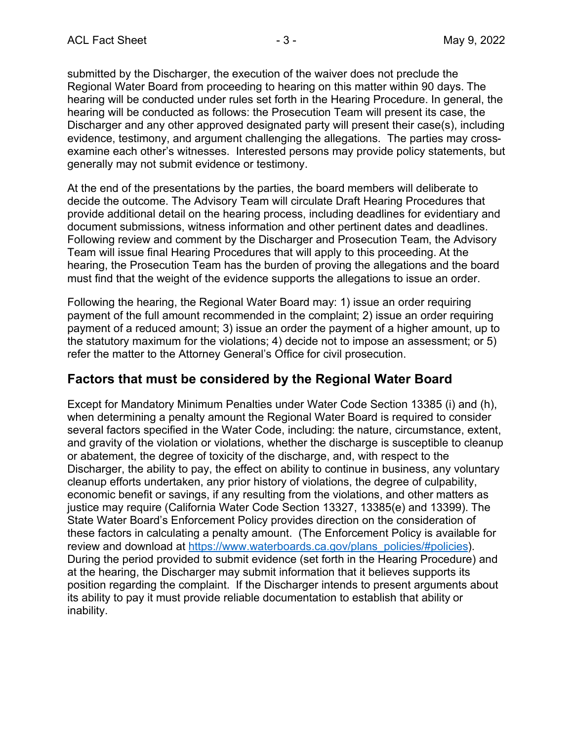submitted by the Discharger, the execution of the waiver does not preclude the Regional Water Board from proceeding to hearing on this matter within 90 days. The hearing will be conducted under rules set forth in the Hearing Procedure. In general, the hearing will be conducted as follows: the Prosecution Team will present its case, the Discharger and any other approved designated party will present their case(s), including evidence, testimony, and argument challenging the allegations. The parties may crossexamine each other's witnesses. Interested persons may provide policy statements, but generally may not submit evidence or testimony.

At the end of the presentations by the parties, the board members will deliberate to decide the outcome. The Advisory Team will circulate Draft Hearing Procedures that provide additional detail on the hearing process, including deadlines for evidentiary and document submissions, witness information and other pertinent dates and deadlines. Following review and comment by the Discharger and Prosecution Team, the Advisory Team will issue final Hearing Procedures that will apply to this proceeding. At the hearing, the Prosecution Team has the burden of proving the allegations and the board must find that the weight of the evidence supports the allegations to issue an order.

Following the hearing, the Regional Water Board may: 1) issue an order requiring payment of the full amount recommended in the complaint; 2) issue an order requiring payment of a reduced amount; 3) issue an order the payment of a higher amount, up to the statutory maximum for the violations; 4) decide not to impose an assessment; or 5) refer the matter to the Attorney General's Office for civil prosecution.

#### **Factors that must be considered by the Regional Water Board**

Except for Mandatory Minimum Penalties under Water Code Section 13385 (i) and (h), when determining a penalty amount the Regional Water Board is required to consider several factors specified in the Water Code, including: the nature, circumstance, extent, and gravity of the violation or violations, whether the discharge is susceptible to cleanup or abatement, the degree of toxicity of the discharge, and, with respect to the Discharger, the ability to pay, the effect on ability to continue in business, any voluntary cleanup efforts undertaken, any prior history of violations, the degree of culpability, economic benefit or savings, if any resulting from the violations, and other matters as justice may require (California Water Code Section 13327, 13385(e) and 13399). The State Water Board's Enforcement Policy provides direction on the consideration of these factors in calculating a penalty amount. (The Enforcement Policy is available for review and download at [https://www.waterboards.ca.gov/plans\\_policies/#policies](https://www.waterboards.ca.gov/plans_policies/#policies)). During the period provided to submit evidence (set forth in the Hearing Procedure) and at the hearing, the Discharger may submit information that it believes supports its position regarding the complaint. If the Discharger intends to present arguments about its ability to pay it must provide reliable documentation to establish that ability or inability.